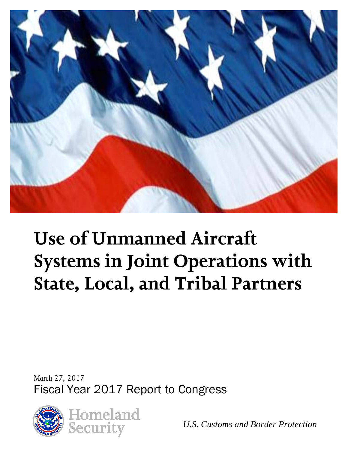

# **Use of Unmanned Aircraft Systems in Joint Operations with State, Local, and Tribal Partners**

*March 27, 2017* Fiscal Year 2017 Report to Congress



*U.S. Customs and Border Protection*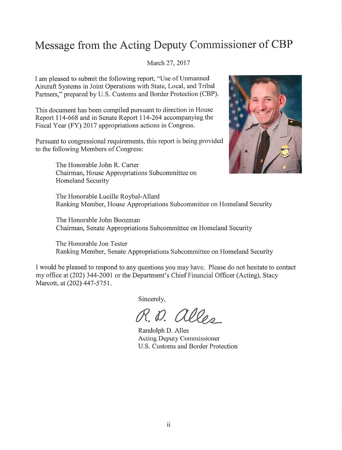## Message from the Acting Deputy Commissioner of CBP

#### March 27, 2017

I am pleased to submit the following report, "Use of Unmanned" Aircraft Systems in Joint Operations with State, Local, and Tribal Partners," prepared by U.S. Customs and Border Protection (CBP).

This document has been compiled pursuant to direction in House Report 114-668 and in Senate Report 114-264 accompanying the Fiscal Year (FY) 2017 appropriations actions in Congress.

Pursuant to congressional requirements, this report is being provided to the following Members of Congress:

> The Honorable John R. Carter Chairman, House Appropriations Subcommittee on Homeland Security



The Honorable Lucille Roybal-Allard Ranking Member, House Appropriations Subcommittee on Homeland Security

The Honorable John Boozman Chairman, Senate Appropriations Subcommittee on Homeland Security

The Honorable Jon Tester Ranking Member, Senate Appropriations Subcommittee on Homeland Security

I would be pleased to respond to any questions you may have. Please do not hesitate to contact my office at (202) 344-2001 or the Department's Chief Financial Officer (Acting), Stacy Marcott, at (202) 447-5751.

Sincerely,

R.D. alles

Randolph D. Alles **Acting Deputy Commissioner** U.S. Customs and Border Protection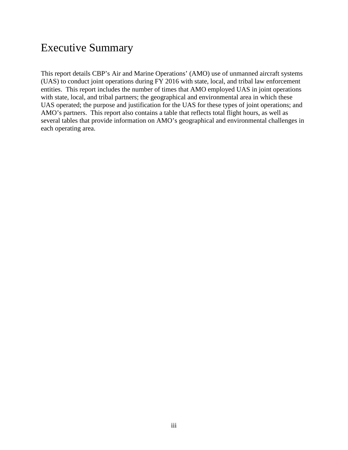## Executive Summary

This report details CBP's Air and Marine Operations' (AMO) use of unmanned aircraft systems (UAS) to conduct joint operations during FY 2016 with state, local, and tribal law enforcement entities. This report includes the number of times that AMO employed UAS in joint operations with state, local, and tribal partners; the geographical and environmental area in which these UAS operated; the purpose and justification for the UAS for these types of joint operations; and AMO's partners. This report also contains a table that reflects total flight hours, as well as several tables that provide information on AMO's geographical and environmental challenges in each operating area.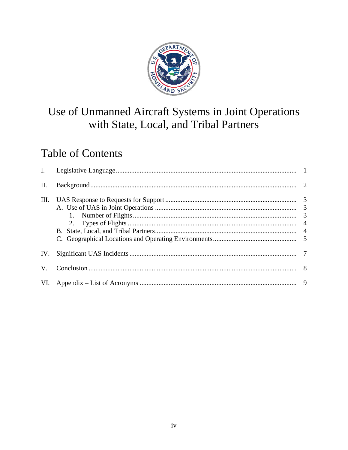

## Use of Unmanned Aircraft Systems in Joint Operations with State, Local, and Tribal Partners

## **Table of Contents**

| $\mathbf{I}$ . |                |
|----------------|----------------|
| Π.             |                |
| Ш.             |                |
|                |                |
|                |                |
|                | $\overline{4}$ |
|                |                |
| IV.            |                |
| V.             |                |
|                |                |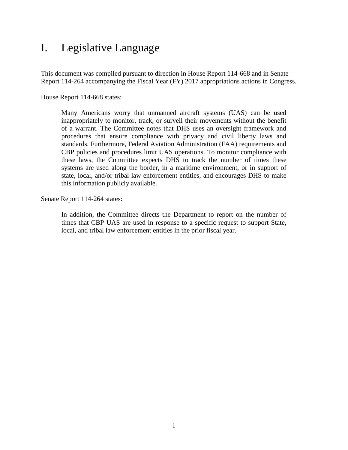## <span id="page-4-0"></span>I. Legislative Language

This document was compiled pursuant to direction in House Report 114-668 and in Senate Report 114-264 accompanying the Fiscal Year (FY) 2017 appropriations actions in Congress.

House Report 114-668 states:

Many Americans worry that unmanned aircraft systems (UAS) can be used inappropriately to monitor, track, or surveil their movements without the benefit of a warrant. The Committee notes that DHS uses an oversight framework and procedures that ensure compliance with privacy and civil liberty laws and standards. Furthermore, Federal Aviation Administration (FAA) requirements and CBP policies and procedures limit UAS operations. To monitor compliance with these laws, the Committee expects DHS to track the number of times these systems are used along the border, in a maritime environment, or in support of state, local, and/or tribal law enforcement entities, and encourages DHS to make this information publicly available.

Senate Report 114-264 states:

In addition, the Committee directs the Department to report on the number of times that CBP UAS are used in response to a specific request to support State, local, and tribal law enforcement entities in the prior fiscal year.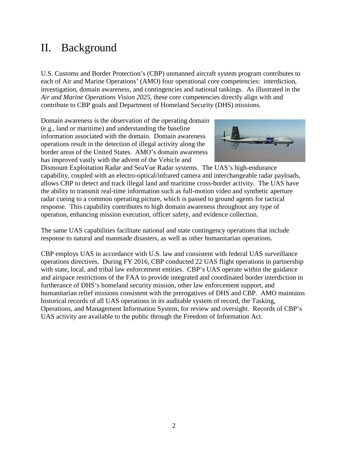## <span id="page-5-0"></span>II. Background

U.S. Customs and Border Protection's (CBP) unmanned aircraft system program contributes to each of Air and Marine Operations' (AMO) four operational core competencies: interdiction, investigation, domain awareness, and contingencies and national taskings. As illustrated in the *Air and Marine Operations Vision 2025*, these core competencies directly align with and contribute to CBP goals and Department of Homeland Security (DHS) missions.

Domain awareness is the observation of the operating domain (e.g., land or maritime) and understanding the baseline information associated with the domain. Domain awareness operations result in the detection of illegal activity along the border areas of the United States. AMO's domain awareness has improved vastly with the advent of the Vehicle and



Dismount Exploitation Radar and SeaVue Radar systems. The UAS's high-endurance capability, coupled with an electro-optical/infrared camera and interchangeable radar payloads, allows CBP to detect and track illegal land and maritime cross-border activity. The UAS have the ability to transmit real-time information such as full-motion video and synthetic aperture radar cueing to a common operating picture, which is passed to ground agents for tactical response. This capability contributes to high domain awareness throughout any type of operation, enhancing mission execution, officer safety, and evidence collection.

The same UAS capabilities facilitate national and state contingency operations that include response to natural and manmade disasters, as well as other humanitarian operations.

CBP employs UAS in accordance with U.S. law and consistent with federal UAS surveillance operations directives. During FY 2016, CBP conducted 22 UAS flight operations in partnership with state, local, and tribal law enforcement entities. CBP's UAS operate within the guidance and airspace restrictions of the FAA to provide integrated and coordinated border interdiction in furtherance of DHS's homeland security mission, other law enforcement support, and humanitarian relief missions consistent with the prerogatives of DHS and CBP. AMO maintains historical records of all UAS operations in its auditable system of record, the Tasking, Operations, and Management Information System, for review and oversight. Records of CBP's UAS activity are available to the public through the Freedom of Information Act.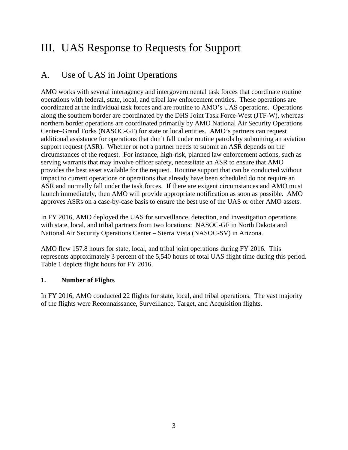## <span id="page-6-0"></span>III. UAS Response to Requests for Support

## <span id="page-6-1"></span>A. Use of UAS in Joint Operations

AMO works with several interagency and intergovernmental task forces that coordinate routine operations with federal, state, local, and tribal law enforcement entities. These operations are coordinated at the individual task forces and are routine to AMO's UAS operations. Operations along the southern border are coordinated by the DHS Joint Task Force-West (JTF-W), whereas northern border operations are coordinated primarily by AMO National Air Security Operations Center–Grand Forks (NASOC-GF) for state or local entities. AMO's partners can request additional assistance for operations that don't fall under routine patrols by submitting an aviation support request (ASR). Whether or not a partner needs to submit an ASR depends on the circumstances of the request. For instance, high-risk, planned law enforcement actions, such as serving warrants that may involve officer safety, necessitate an ASR to ensure that AMO provides the best asset available for the request. Routine support that can be conducted without impact to current operations or operations that already have been scheduled do not require an ASR and normally fall under the task forces. If there are exigent circumstances and AMO must launch immediately, then AMO will provide appropriate notification as soon as possible. AMO approves ASRs on a case-by-case basis to ensure the best use of the UAS or other AMO assets.

In FY 2016, AMO deployed the UAS for surveillance, detection, and investigation operations with state, local, and tribal partners from two locations: NASOC-GF in North Dakota and National Air Security Operations Center – Sierra Vista (NASOC-SV) in Arizona.

AMO flew 157.8 hours for state, local, and tribal joint operations during FY 2016. This represents approximately 3 percent of the 5,540 hours of total UAS flight time during this period. Table 1 depicts flight hours for FY 2016.

#### <span id="page-6-2"></span>**1. Number of Flights**

In FY 2016, AMO conducted 22 flights for state, local, and tribal operations. The vast majority of the flights were Reconnaissance, Surveillance, Target, and Acquisition flights.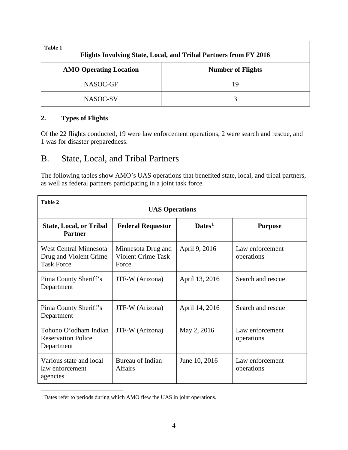| Table 1<br>Flights Involving State, Local, and Tribal Partners from FY 2016 |                          |  |
|-----------------------------------------------------------------------------|--------------------------|--|
| <b>AMO Operating Location</b>                                               | <b>Number of Flights</b> |  |
| NASOC-GF                                                                    | 19                       |  |
| NASOC-SV                                                                    | 3                        |  |

#### <span id="page-7-0"></span>**2. Types of Flights**

Of the 22 flights conducted, 19 were law enforcement operations, 2 were search and rescue, and 1 was for disaster preparedness.

### <span id="page-7-1"></span>B. State, Local, and Tribal Partners

The following tables show AMO's UAS operations that benefited state, local, and tribal partners, as well as federal partners participating in a joint task force.

| Table 2<br><b>UAS Operations</b>                                      |                                                          |                    |                               |
|-----------------------------------------------------------------------|----------------------------------------------------------|--------------------|-------------------------------|
| <b>State, Local, or Tribal</b><br><b>Partner</b>                      | <b>Federal Requestor</b>                                 | Dates <sup>1</sup> | <b>Purpose</b>                |
| West Central Minnesota<br>Drug and Violent Crime<br><b>Task Force</b> | Minnesota Drug and<br><b>Violent Crime Task</b><br>Force | April 9, 2016      | Law enforcement<br>operations |
| Pima County Sheriff's<br>Department                                   | JTF-W (Arizona)                                          | April 13, 2016     | Search and rescue             |
| Pima County Sheriff's<br>Department                                   | JTF-W (Arizona)                                          | April 14, 2016     | Search and rescue             |
| Tohono O'odham Indian<br><b>Reservation Police</b><br>Department      | JTF-W (Arizona)                                          | May 2, 2016        | Law enforcement<br>operations |
| Various state and local<br>law enforcement<br>agencies                | Bureau of Indian<br><b>Affairs</b>                       | June 10, 2016      | Law enforcement<br>operations |

<span id="page-7-2"></span><sup>&</sup>lt;sup>1</sup> Dates refer to periods during which AMO flew the UAS in joint operations.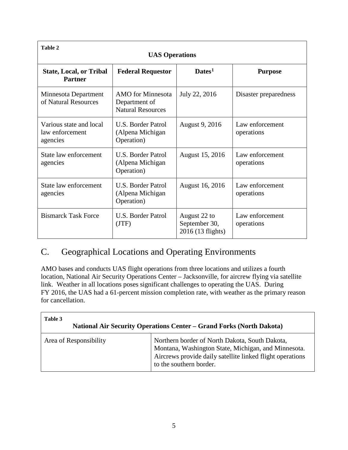| <b>Table 2</b><br><b>UAS Operations</b>                |                                                                       |                                                    |                               |
|--------------------------------------------------------|-----------------------------------------------------------------------|----------------------------------------------------|-------------------------------|
| <b>State, Local, or Tribal</b><br><b>Partner</b>       | <b>Federal Requestor</b>                                              | $\mathbf{Dates}^1$                                 | <b>Purpose</b>                |
| Minnesota Department<br>of Natural Resources           | <b>AMO</b> for Minnesota<br>Department of<br><b>Natural Resources</b> | July 22, 2016                                      | Disaster preparedness         |
| Various state and local<br>law enforcement<br>agencies | U.S. Border Patrol<br>(Alpena Michigan<br>Operation)                  | August 9, 2016                                     | Law enforcement<br>operations |
| State law enforcement<br>agencies                      | U.S. Border Patrol<br>(Alpena Michigan<br>Operation)                  | August 15, 2016                                    | Law enforcement<br>operations |
| State law enforcement<br>agencies                      | U.S. Border Patrol<br>(Alpena Michigan<br>Operation)                  | August 16, 2016                                    | Law enforcement<br>operations |
| <b>Bismarck Task Force</b>                             | <b>U.S. Border Patrol</b><br>(JTF)                                    | August 22 to<br>September 30,<br>2016 (13 flights) | Law enforcement<br>operations |

## <span id="page-8-0"></span>C. Geographical Locations and Operating Environments

AMO bases and conducts UAS flight operations from three locations and utilizes a fourth location, National Air Security Operations Center – Jacksonville, for aircrew flying via satellite link. Weather in all locations poses significant challenges to operating the UAS. During FY 2016, the UAS had a 61-percent mission completion rate, with weather as the primary reason for cancellation.

| Table 3<br><b>National Air Security Operations Center – Grand Forks (North Dakota)</b> |                                                                                                                                                                                               |  |
|----------------------------------------------------------------------------------------|-----------------------------------------------------------------------------------------------------------------------------------------------------------------------------------------------|--|
| Area of Responsibility                                                                 | Northern border of North Dakota, South Dakota,<br>Montana, Washington State, Michigan, and Minnesota.<br>Aircrews provide daily satellite linked flight operations<br>to the southern border. |  |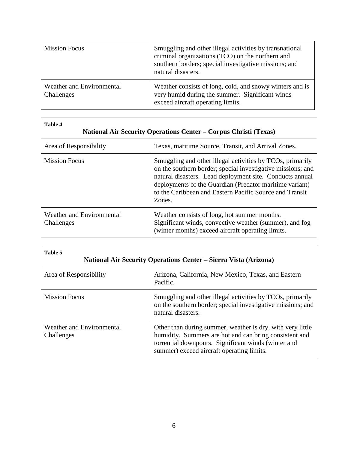| <b>Mission Focus</b>                    | Smuggling and other illegal activities by transnational<br>criminal organizations (TCO) on the northern and<br>southern borders; special investigative missions; and<br>natural disasters. |
|-----------------------------------------|--------------------------------------------------------------------------------------------------------------------------------------------------------------------------------------------|
| Weather and Environmental<br>Challenges | Weather consists of long, cold, and snowy winters and is<br>very humid during the summer. Significant winds<br>exceed aircraft operating limits.                                           |

| Table 4<br><b>National Air Security Operations Center – Corpus Christi (Texas)</b> |                                                                                                                                                                                                                                                                                                                      |  |
|------------------------------------------------------------------------------------|----------------------------------------------------------------------------------------------------------------------------------------------------------------------------------------------------------------------------------------------------------------------------------------------------------------------|--|
| Area of Responsibility                                                             | Texas, maritime Source, Transit, and Arrival Zones.                                                                                                                                                                                                                                                                  |  |
| <b>Mission Focus</b>                                                               | Smuggling and other illegal activities by TCOs, primarily<br>on the southern border; special investigative missions; and<br>natural disasters. Lead deployment site. Conducts annual<br>deployments of the Guardian (Predator maritime variant)<br>to the Caribbean and Eastern Pacific Source and Transit<br>Zones. |  |
| Weather and Environmental<br>Challenges                                            | Weather consists of long, hot summer months.<br>Significant winds, convective weather (summer), and fog<br>(winter months) exceed aircraft operating limits.                                                                                                                                                         |  |

| Table 5<br><b>National Air Security Operations Center – Sierra Vista (Arizona)</b> |                                                                                                                                                                                                                          |  |
|------------------------------------------------------------------------------------|--------------------------------------------------------------------------------------------------------------------------------------------------------------------------------------------------------------------------|--|
| Area of Responsibility                                                             | Arizona, California, New Mexico, Texas, and Eastern<br>Pacific.                                                                                                                                                          |  |
| <b>Mission Focus</b>                                                               | Smuggling and other illegal activities by TCOs, primarily<br>on the southern border; special investigative missions; and<br>natural disasters.                                                                           |  |
| Weather and Environmental<br>Challenges                                            | Other than during summer, weather is dry, with very little<br>humidity. Summers are hot and can bring consistent and<br>torrential downpours. Significant winds (winter and<br>summer) exceed aircraft operating limits. |  |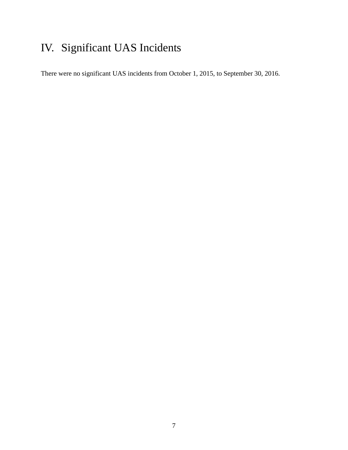# <span id="page-10-0"></span>IV. Significant UAS Incidents

There were no significant UAS incidents from October 1, 2015, to September 30, 2016.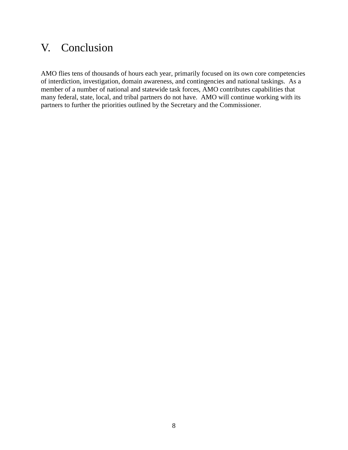## <span id="page-11-0"></span>V. Conclusion

AMO flies tens of thousands of hours each year, primarily focused on its own core competencies of interdiction, investigation, domain awareness, and contingencies and national taskings. As a member of a number of national and statewide task forces, AMO contributes capabilities that many federal, state, local, and tribal partners do not have. AMO will continue working with its partners to further the priorities outlined by the Secretary and the Commissioner.